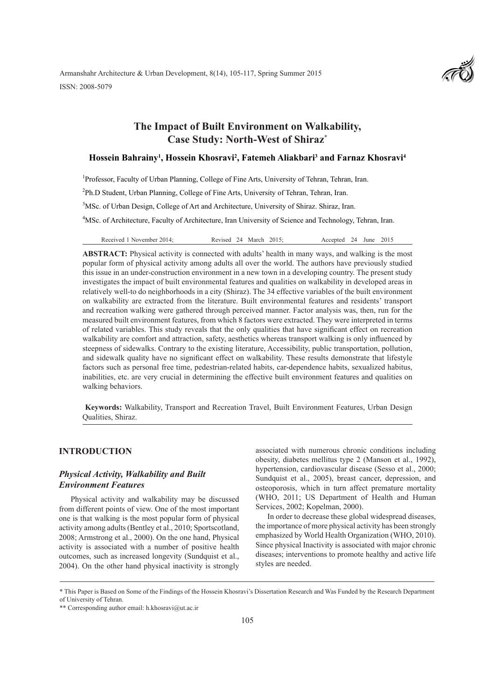Armanshahr Architecture & Urban Development, 8(14), 105-117, Spring Summer 2015 ISSN: 2008-5079



# **The Impact of Built Environment on Walkability, Case Study: North-West of Shiraz\***

### **Hossein Bahrainy1 , Hossein Khosravi2 , Fatemeh Aliakbari3 and Farnaz Khosravi4**

<sup>1</sup>Professor, Faculty of Urban Planning, College of Fine Arts, University of Tehran, Tehran, Iran.

<sup>2</sup>Ph.D Student, Urban Planning, College of Fine Arts, University of Tehran, Tehran, Iran.

<sup>3</sup>MSc. of Urban Design, College of Art and Architecture, University of Shiraz. Shiraz, Iran.

<sup>4</sup>MSc. of Architecture, Faculty of Architecture, Iran University of Science and Technology, Tehran, Iran.

Received 1 November 2014; Revised 24 March 2015; Accepted 24 June 2015

**ABSTRACT:** Physical activity is connected with adults' health in many ways, and walking is the most popular form of physical activity among adults all over the world. The authors have previously studied this issue in an under-construction environment in a new town in a developing country. The present study investigates the impact of built environmental features and qualities on walkability in developed areas in relatively well-to do neighborhoods in a city (Shiraz). The 34 effective variables of the built environment on walkability are extracted from the literature. Built environmental features and residents' transport and recreation walking were gathered through perceived manner. Factor analysis was, then, run for the measured built environment features, from which 8 factors were extracted. They were interpreted in terms of related variables. This study reveals that the only qualities that have significant effect on recreation walkability are comfort and attraction, safety, aesthetics whereas transport walking is only influenced by steepness of sidewalks. Contrary to the existing literature, Accessibility, public transportation, pollution, and sidewalk quality have no significant effect on walkability. These results demonstrate that lifestyle factors such as personal free time, pedestrian-related habits, car-dependence habits, sexualized habitus, inabilities, etc. are very crucial in determining the effective built environment features and qualities on walking behaviors.

 **Keywords:** Walkability, Transport and Recreation Travel, Built Environment Features, Urban Design Qualities, Shiraz.

# **INTRODUCTION**

# *Physical Activity, Walkability and Built Environment Features*

Physical activity and walkability may be discussed from different points of view. One of the most important one is that walking is the most popular form of physical activity among adults (Bentley et al., 2010; Sportscotland, 2008; Armstrong et al., 2000). On the one hand, Physical activity is associated with a number of positive health outcomes, such as increased longevity (Sundquist et al., 2004). On the other hand physical inactivity is strongly associated with numerous chronic conditions including obesity, diabetes mellitus type 2 (Manson et al., 1992), hypertension, cardiovascular disease (Sesso et al., 2000; Sundquist et al., 2005), breast cancer, depression, and osteoporosis, which in turn affect premature mortality (WHO, 2011; US Department of Health and Human Services, 2002; Kopelman, 2000).

In order to decrease these global widespread diseases, the importance of more physical activity has been strongly emphasized by World Health Organization (WHO, 2010). Since physical Inactivity is associated with major chronic diseases; interventions to promote healthy and active life styles are needed.

<sup>\*</sup> This Paper is Based on Some of the Findings of the Hossein Khosravi's Dissertation Research and Was Funded by the Research Department of University of Tehran.

<sup>\*\*</sup> Corresponding author email: h.khosravi@ut.ac.ir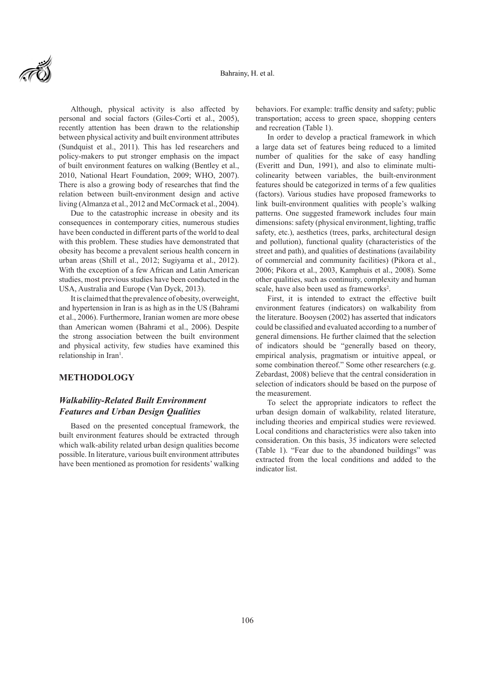

Although, physical activity is also affected by personal and social factors (Giles-Corti et al., 2005), recently attention has been drawn to the relationship between physical activity and built environment attributes (Sundquist et al., 2011). This has led researchers and policy-makers to put stronger emphasis on the impact of built environment features on walking (Bentley et al., 2010, National Heart Foundation, 2009; WHO, 2007). There is also a growing body of researches that find the relation between built-environment design and active living (Almanza et al., 2012 and McCormack et al., 2004).

Due to the catastrophic increase in obesity and its consequences in contemporary cities, numerous studies have been conducted in different parts of the world to deal with this problem. These studies have demonstrated that obesity has become a prevalent serious health concern in urban areas (Shill et al., 2012; Sugiyama et al., 2012). With the exception of a few African and Latin American studies, most previous studies have been conducted in the USA, Australia and Europe (Van Dyck, 2013).

It is claimed that the prevalence of obesity, overweight, and hypertension in Iran is as high as in the US (Bahrami et al., 2006). Furthermore, Iranian women are more obese than American women (Bahrami et al., 2006). Despite the strong association between the built environment and physical activity, few studies have examined this relationship in Iran<sup>1</sup>.

# **METHODOLOGY**

# *Walkability-Related Built Environment Features and Urban Design Qualities*

Based on the presented conceptual framework, the built environment features should be extracted through which walk-ability related urban design qualities become possible. In literature, various built environment attributes have been mentioned as promotion for residents' walking behaviors. For example: traffic density and safety; public transportation; access to green space, shopping centers and recreation (Table 1).

In order to develop a practical framework in which a large data set of features being reduced to a limited number of qualities for the sake of easy handling (Everitt and Dun, 1991), and also to eliminate multicolinearity between variables, the built-environment features should be categorized in terms of a few qualities (factors). Various studies have proposed frameworks to link built-environment qualities with people's walking patterns. One suggested framework includes four main dimensions: safety (physical environment, lighting, traffic safety, etc.), aesthetics (trees, parks, architectural design and pollution), functional quality (characteristics of the street and path), and qualities of destinations (availability of commercial and community facilities) (Pikora et al., 2006; Pikora et al., 2003, Kamphuis et al., 2008). Some other qualities, such as continuity, complexity and human scale, have also been used as frameworks<sup>2</sup>.

First, it is intended to extract the effective built environment features (indicators) on walkability from the literature. Booysen (2002) has asserted that indicators could be classified and evaluated according to a number of general dimensions. He further claimed that the selection of indicators should be "generally based on theory, empirical analysis, pragmatism or intuitive appeal, or some combination thereof." Some other researchers (e.g. Zebardast, 2008) believe that the central consideration in selection of indicators should be based on the purpose of the measurement.

To select the appropriate indicators to reflect the urban design domain of walkability, related literature, including theories and empirical studies were reviewed. Local conditions and characteristics were also taken into consideration. On this basis, 35 indicators were selected (Table 1). "Fear due to the abandoned buildings" was extracted from the local conditions and added to the indicator list.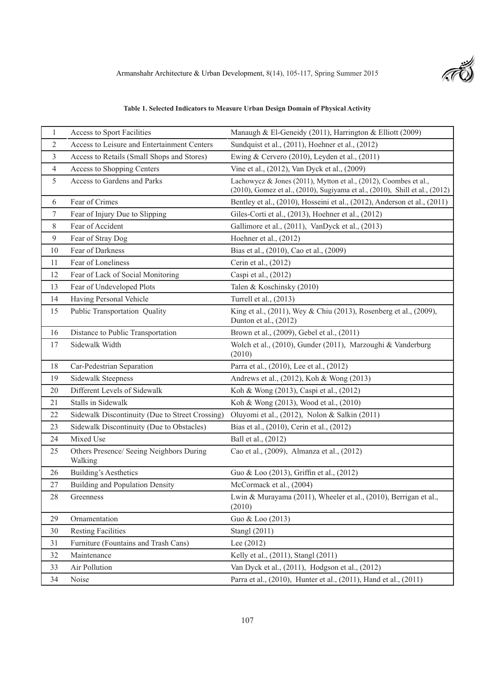t S

# **Table 1. Selected Indicators to Measure Urban Design Domain of Physical Activity**

| $\mathbf{1}$   | Access to Sport Facilities                          | Manaugh & El-Geneidy (2011), Harrington & Elliott (2009)                                                                                        |
|----------------|-----------------------------------------------------|-------------------------------------------------------------------------------------------------------------------------------------------------|
| $\overline{c}$ | Access to Leisure and Entertainment Centers         | Sundquist et al., (2011), Hoehner et al., (2012)                                                                                                |
| 3              | Access to Retails (Small Shops and Stores)          | Ewing & Cervero (2010), Leyden et al., (2011)                                                                                                   |
| 4              | <b>Access to Shopping Centers</b>                   | Vine et al., (2012), Van Dyck et al., (2009)                                                                                                    |
| 5              | Access to Gardens and Parks                         | Lachowycz & Jones (2011), Mytton et al., (2012), Coombes et al.,<br>(2010), Gomez et al., (2010), Sugiyama et al., (2010), Shill et al., (2012) |
| 6              | Fear of Crimes                                      | Bentley et al., (2010), Hosseini et al., (2012), Anderson et al., (2011)                                                                        |
| 7              | Fear of Injury Due to Slipping                      | Giles-Corti et al., (2013), Hoehner et al., (2012)                                                                                              |
| 8              | Fear of Accident                                    | Gallimore et al., (2011), VanDyck et al., (2013)                                                                                                |
| 9              | Fear of Stray Dog                                   | Hoehner et al., (2012)                                                                                                                          |
| 10             | Fear of Darkness                                    | Bias et al., (2010), Cao et al., (2009)                                                                                                         |
| 11             | Fear of Loneliness                                  | Cerin et al., (2012)                                                                                                                            |
| 12             | Fear of Lack of Social Monitoring                   | Caspi et al., (2012)                                                                                                                            |
| 13             | Fear of Undeveloped Plots                           | Talen & Koschinsky (2010)                                                                                                                       |
| 14             | Having Personal Vehicle                             | Turrell et al., (2013)                                                                                                                          |
| 15             | Public Transportation Quality                       | King et al., (2011), Wey & Chiu (2013), Rosenberg et al., (2009),<br>Dunton et al., (2012)                                                      |
| 16             | Distance to Public Transportation                   | Brown et al., (2009), Gebel et al., (2011)                                                                                                      |
| 17             | Sidewalk Width                                      | Wolch et al., (2010), Gunder (2011), Marzoughi & Vanderburg<br>(2010)                                                                           |
| 18             | Car-Pedestrian Separation                           | Parra et al., (2010), Lee et al., (2012)                                                                                                        |
| 19             | <b>Sidewalk Steepness</b>                           | Andrews et al., (2012), Koh & Wong (2013)                                                                                                       |
| 20             | Different Levels of Sidewalk                        | Koh & Wong (2013), Caspi et al., (2012)                                                                                                         |
| 21             | Stalls in Sidewalk                                  | Koh & Wong (2013), Wood et al., (2010)                                                                                                          |
| 22             | Sidewalk Discontinuity (Due to Street Crossing)     | Oluyomi et al., (2012), Nolon & Salkin (2011)                                                                                                   |
| 23             | Sidewalk Discontinuity (Due to Obstacles)           | Bias et al., (2010), Cerin et al., (2012)                                                                                                       |
| 24             | Mixed Use                                           | Ball et al., (2012)                                                                                                                             |
| 25             | Others Presence/ Seeing Neighbors During<br>Walking | Cao et al., (2009), Almanza et al., (2012)                                                                                                      |
| 26             | <b>Building's Aesthetics</b>                        | Guo & Loo (2013), Griffin et al., (2012)                                                                                                        |
| 27             | <b>Building and Population Density</b>              | McCormack et al., (2004)                                                                                                                        |
| 28             | Greenness                                           | Lwin & Murayama (2011), Wheeler et al., (2010), Berrigan et al.,<br>(2010)                                                                      |
| 29             | Ornamentation                                       | Guo & Loo (2013)                                                                                                                                |
| 30             | <b>Resting Facilities</b>                           | Stangl (2011)                                                                                                                                   |
| 31             | Furniture (Fountains and Trash Cans)                | Lee $(2012)$                                                                                                                                    |
| 32             | Maintenance                                         | Kelly et al., (2011), Stangl (2011)                                                                                                             |
| 33             | Air Pollution                                       | Van Dyck et al., (2011), Hodgson et al., (2012)                                                                                                 |
| 34             | Noise                                               | Parra et al., (2010), Hunter et al., (2011), Hand et al., (2011)                                                                                |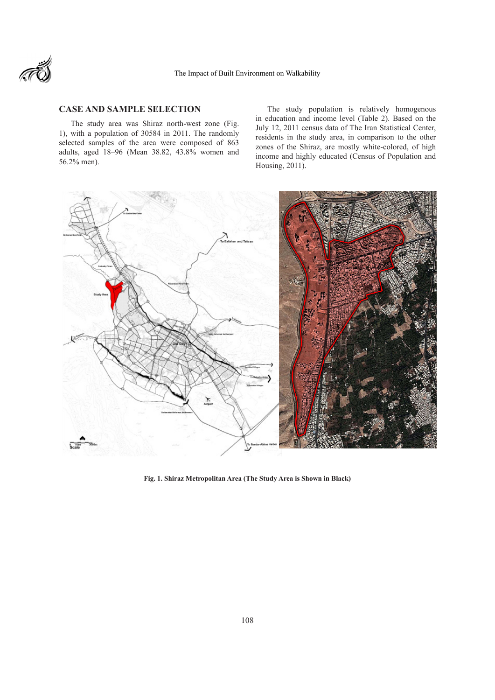

# **CASE AND SAMPLE SELECTION**

The study area was Shiraz north-west zone (Fig. 1), with a population of 30584 in 2011. The randomly selected samples of the area were composed of 863 adults, aged 18–96 (Mean 38.82, 43.8% women and 56.2% men).

The study population is relatively homogenous in education and income level (Table 2). Based on the July 12, 2011 census data of The Iran Statistical Center, residents in the study area, in comparison to the other zones of the Shiraz, are mostly white-colored, of high income and highly educated (Census of Population and Housing, 2011).



**Fig. 1. Shiraz Metropolitan Area (The Study Area is Shown in Black)**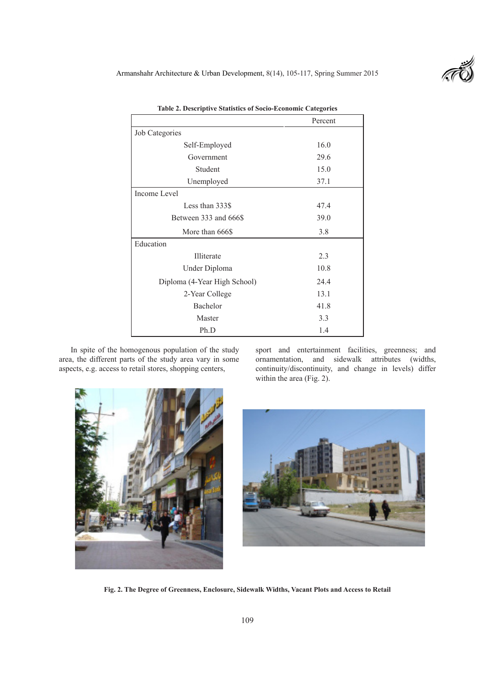Armanshahr Architecture & Urban Development, 8(14), 105-117, Spring Summer 2015



|                              | Percent |
|------------------------------|---------|
| Job Categories               |         |
| Self-Employed                | 16.0    |
| Government                   | 29.6    |
| Student                      | 15.0    |
| Unemployed                   | 37.1    |
| Income Level                 |         |
| Less than 333\$              | 47.4    |
| Between 333 and 666\$        | 39.0    |
| More than 666\$              | 3.8     |
| Education                    |         |
| Illiterate                   | 2.3     |
| Under Diploma                | 10.8    |
| Diploma (4-Year High School) | 24.4    |
| 2-Year College               | 13.1    |
| Bachelor                     | 41.8    |
| Master                       | 3.3     |
| Ph.D                         | 1.4     |

**Table 2. Descriptive Statistics of Socio-Economic Categories**

In spite of the homogenous population of the study area, the different parts of the study area vary in some aspects, e.g. access to retail stores, shopping centers,

sport and entertainment facilities, greenness; and ornamentation, and sidewalk attributes (widths, continuity/discontinuity, and change in levels) differ within the area (Fig. 2).





**Fig. 2. The Degree of Greenness, Enclosure, Sidewalk Widths, Vacant Plots and Access to Retail**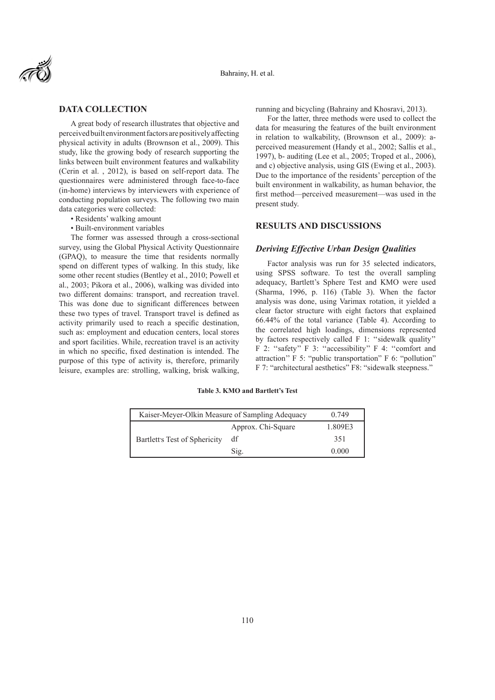

## **DATA COLLECTION**

A great body of research illustrates that objective and perceived built environment factors are positively affecting physical activity in adults (Brownson et al., 2009). This study, like the growing body of research supporting the links between built environment features and walkability (Cerin et al. , 2012), is based on self-report data. The questionnaires were administered through face-to-face (in-home) interviews by interviewers with experience of conducting population surveys. The following two main data categories were collected:

- Residents' walking amount
- Built-environment variables

The former was assessed through a cross-sectional survey, using the Global Physical Activity Questionnaire (GPAQ), to measure the time that residents normally spend on different types of walking. In this study, like some other recent studies (Bentley et al., 2010; Powell et al., 2003; Pikora et al., 2006), walking was divided into two different domains: transport, and recreation travel. This was done due to significant differences between these two types of travel. Transport travel is defined as activity primarily used to reach a specific destination, such as: employment and education centers, local stores and sport facilities. While, recreation travel is an activity in which no specific, fixed destination is intended. The purpose of this type of activity is, therefore, primarily leisure, examples are: strolling, walking, brisk walking,

running and bicycling (Bahrainy and Khosravi, 2013).

For the latter, three methods were used to collect the data for measuring the features of the built environment in relation to walkability, (Brownson et al., 2009): aperceived measurement (Handy et al., 2002; Sallis et al., 1997), b- auditing (Lee et al., 2005; Troped et al., 2006), and c) objective analysis, using GIS (Ewing et al., 2003). Due to the importance of the residents' perception of the built environment in walkability, as human behavior, the first method—perceived measurement—was used in the present study.

#### **RESULTS AND DISCUSSIONS**

#### *Deriving Effective Urban Design Qualities*

Factor analysis was run for 35 selected indicators, using SPSS software. To test the overall sampling adequacy, Bartlett's Sphere Test and KMO were used (Sharma, 1996, p. 116) (Table 3). When the factor analysis was done, using Varimax rotation, it yielded a clear factor structure with eight factors that explained 66.44% of the total variance (Table 4). According to the correlated high loadings, dimensions represented by factors respectively called F 1: ''sidewalk quality'' F 2: "safety" F 3: "accessibility" F 4: "comfort and attraction'' F 5: "public transportation" F 6: "pollution" F 7: "architectural aesthetics" F8: "sidewalk steepness."

#### **Table 3. KMO and Bartlett's Test**

| Kaiser-Meyer-Olkin Measure of Sampling Adequacy | 0.749              |         |
|-------------------------------------------------|--------------------|---------|
| Bartlett's Test of Sphericity                   | Approx. Chi-Square | 1.809E3 |
|                                                 | df                 | 351     |
|                                                 | Sig.               | 0.000   |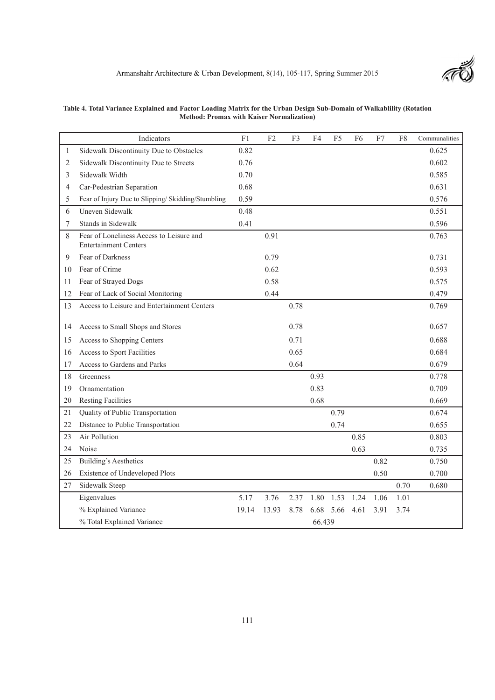|    | Indicators                                                               | F1    | F2    | F <sub>3</sub> | F4     | F <sub>5</sub> | F6   | F7   | F8   | Communalities |
|----|--------------------------------------------------------------------------|-------|-------|----------------|--------|----------------|------|------|------|---------------|
| 1  | Sidewalk Discontinuity Due to Obstacles                                  | 0.82  |       |                |        |                |      |      |      | 0.625         |
| 2  | Sidewalk Discontinuity Due to Streets                                    | 0.76  |       |                |        |                |      |      |      | 0.602         |
| 3  | Sidewalk Width                                                           | 0.70  |       |                |        |                |      |      |      | 0.585         |
| 4  | Car-Pedestrian Separation                                                | 0.68  |       |                |        |                |      |      |      | 0.631         |
| 5  | Fear of Injury Due to Slipping/ Skidding/Stumbling                       | 0.59  |       |                |        |                |      |      |      | 0.576         |
| 6  | Uneven Sidewalk                                                          | 0.48  |       |                |        |                |      |      |      | 0.551         |
| 7  | Stands in Sidewalk                                                       | 0.41  |       |                |        |                |      |      |      | 0.596         |
| 8  | Fear of Loneliness Access to Leisure and<br><b>Entertainment Centers</b> |       | 0.91  |                |        |                |      |      |      | 0.763         |
| 9  | Fear of Darkness                                                         |       | 0.79  |                |        |                |      |      |      | 0.731         |
| 10 | Fear of Crime                                                            |       | 0.62  |                |        |                |      |      |      | 0.593         |
| 11 | Fear of Strayed Dogs                                                     |       | 0.58  |                |        |                |      |      |      | 0.575         |
| 12 | Fear of Lack of Social Monitoring                                        |       | 0.44  |                |        |                |      |      |      | 0.479         |
| 13 | Access to Leisure and Entertainment Centers                              |       |       | 0.78           |        |                |      |      |      | 0.769         |
| 14 | Access to Small Shops and Stores                                         |       |       | 0.78           |        |                |      |      |      | 0.657         |
| 15 | Access to Shopping Centers                                               |       |       | 0.71           |        |                |      |      |      | 0.688         |
| 16 | Access to Sport Facilities                                               |       |       | 0.65           |        |                |      |      |      | 0.684         |
| 17 | Access to Gardens and Parks                                              |       |       | 0.64           |        |                |      |      |      | 0.679         |
| 18 | Greenness                                                                |       |       |                | 0.93   |                |      |      |      | 0.778         |
| 19 | Ornamentation                                                            |       |       |                | 0.83   |                |      |      |      | 0.709         |
| 20 | <b>Resting Facilities</b>                                                |       |       |                | 0.68   |                |      |      |      | 0.669         |
| 21 | Quality of Public Transportation                                         |       |       |                |        | 0.79           |      |      |      | 0.674         |
| 22 | Distance to Public Transportation                                        |       |       |                |        | 0.74           |      |      |      | 0.655         |
| 23 | Air Pollution                                                            |       |       |                |        |                | 0.85 |      |      | 0.803         |
| 24 | Noise                                                                    |       |       |                |        |                | 0.63 |      |      | 0.735         |
| 25 | <b>Building's Aesthetics</b>                                             |       |       |                |        |                |      | 0.82 |      | 0.750         |
| 26 | Existence of Undeveloped Plots                                           |       |       |                |        |                |      | 0.50 |      | 0.700         |
| 27 | Sidewalk Steep                                                           |       |       |                |        |                |      |      | 0.70 | 0.680         |
|    | Eigenvalues                                                              | 5.17  | 3.76  | 2.37           | 1.80   | 1.53           | 1.24 | 1.06 | 1.01 |               |
|    | % Explained Variance                                                     | 19.14 | 13.93 | 8.78           | 6.68   | 5.66           | 4.61 | 3.91 | 3.74 |               |
|    | % Total Explained Variance                                               |       |       |                | 66.439 |                |      |      |      |               |

**Table 4. Total Variance Explained and Factor Loading Matrix for the Urban Design Sub-Domain of Walkablility (Rotation Method: Promax with Kaiser Normalization)**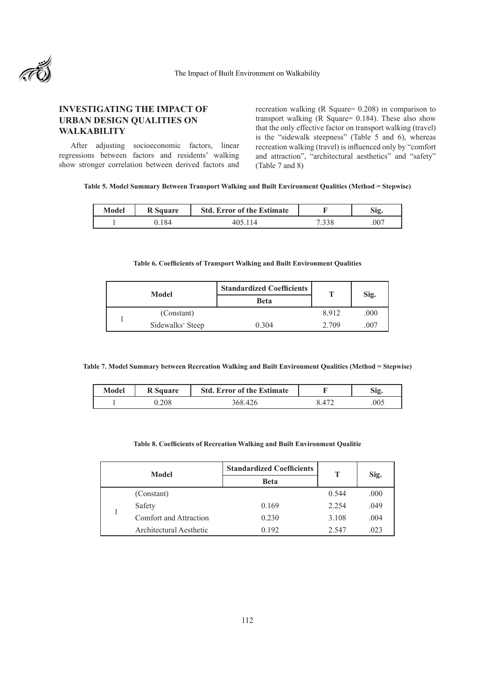

# **INVESTIGATING THE IMPACT OF URBAN DESIGN QUALITIES ON WALKABILITY**

After adjusting socioeconomic factors, linear regressions between factors and residents' walking show stronger correlation between derived factors and recreation walking (R Square= 0.208) in comparison to transport walking (R Square= 0.184). These also show that the only effective factor on transport walking (travel) is the "sidewalk steepness" (Table 5 and 6), whereas recreation walking (travel) is influenced only by "comfort and attraction", "architectural aesthetics" and "safety" (Table 7 and 8)

**Table 5. Model Summary Between Transport Walking and Built Environment Qualities (Method = Stepwise)**

| Model | <b>R</b> Square | <b>Std. Error of the Estimate</b> |       |      |
|-------|-----------------|-----------------------------------|-------|------|
|       | 84              |                                   | . 220 | .007 |

#### **Table 6. Coefficients of Transport Walking and Built Environment Qualities**

|  | Model            | <b>Standardized Coefficients</b> |       |      |
|--|------------------|----------------------------------|-------|------|
|  |                  | <b>Beta</b>                      |       | Sig. |
|  | (Constant)       |                                  | 8.912 | .000 |
|  | Sidewalks' Steep | 0.304                            | 2.709 | .007 |

**Table 7. Model Summary between Recreation Walking and Built Environment Qualities (Method = Stepwise)**

| Model | <b>R</b> Square | <b>Std. Error of the Estimate</b> |     |
|-------|-----------------|-----------------------------------|-----|
|       | າ∩ເ             |                                   | 005 |

#### **Table 8. Coefficients of Recreation Walking and Built Environment Qualitie**

| Model |  |                         | <b>Standardized Coefficients</b> | т     | Sig. |
|-------|--|-------------------------|----------------------------------|-------|------|
|       |  |                         | <b>Beta</b>                      |       |      |
|       |  | (Constant)              |                                  | 0.544 | .000 |
|       |  | Safety                  | 0.169                            | 2.254 | .049 |
|       |  | Comfort and Attraction  | 0.230                            | 3.108 | .004 |
|       |  | Architectural Aesthetic | 0.192                            | 2.547 | .023 |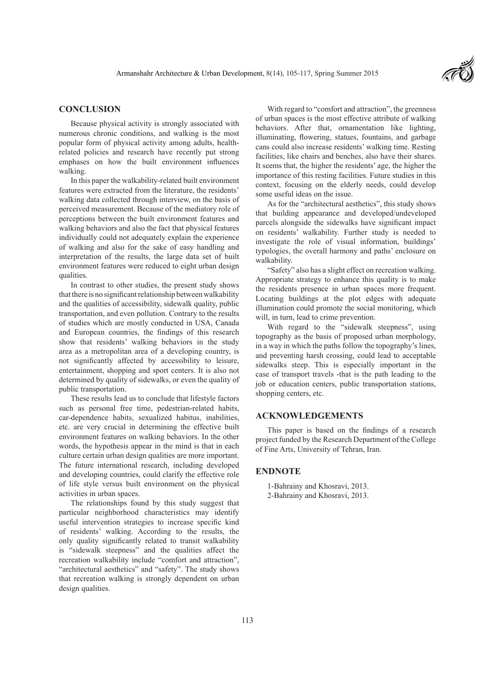

## **CONCLUSION**

Because physical activity is strongly associated with numerous chronic conditions, and walking is the most popular form of physical activity among adults, healthrelated policies and research have recently put strong emphases on how the built environment influences walking.

In this paper the walkability-related built environment features were extracted from the literature, the residents' walking data collected through interview, on the basis of perceived measurement. Because of the mediatory role of perceptions between the built environment features and walking behaviors and also the fact that physical features individually could not adequately explain the experience of walking and also for the sake of easy handling and interpretation of the results, the large data set of built environment features were reduced to eight urban design qualities.

In contrast to other studies, the present study shows that there is no significant relationship between walkability and the qualities of accessibility, sidewalk quality, public transportation, and even pollution. Contrary to the results of studies which are mostly conducted in USA, Canada and European countries, the findings of this research show that residents' walking behaviors in the study area as a metropolitan area of a developing country, is not significantly affected by accessibility to leisure, entertainment, shopping and sport centers. It is also not determined by quality of sidewalks, or even the quality of public transportation.

These results lead us to conclude that lifestyle factors such as personal free time, pedestrian-related habits, car-dependence habits, sexualized habitus, inabilities, etc. are very crucial in determining the effective built environment features on walking behaviors. In the other words, the hypothesis appear in the mind is that in each culture certain urban design qualities are more important. The future international research, including developed and developing countries, could clarify the effective role of life style versus built environment on the physical activities in urban spaces.

The relationships found by this study suggest that particular neighborhood characteristics may identify useful intervention strategies to increase specific kind of residents' walking. According to the results, the only quality significantly related to transit walkability is "sidewalk steepness" and the qualities affect the recreation walkability include "comfort and attraction", "architectural aesthetics" and "safety". The study shows that recreation walking is strongly dependent on urban design qualities.

With regard to "comfort and attraction", the greenness of urban spaces is the most effective attribute of walking behaviors. After that, ornamentation like lighting, illuminating, flowering, statues, fountains, and garbage cans could also increase residents' walking time. Resting facilities, like chairs and benches, also have their shares. It seems that, the higher the residents' age, the higher the importance of this resting facilities. Future studies in this context, focusing on the elderly needs, could develop some useful ideas on the issue.

As for the "architectural aesthetics", this study shows that building appearance and developed/undeveloped parcels alongside the sidewalks have significant impact on residents' walkability. Further study is needed to investigate the role of visual information, buildings' typologies, the overall harmony and paths' enclosure on walkability.

"Safety" also has a slight effect on recreation walking. Appropriate strategy to enhance this quality is to make the residents presence in urban spaces more frequent. Locating buildings at the plot edges with adequate illumination could promote the social monitoring, which will, in turn, lead to crime prevention.

With regard to the "sidewalk steepness", using topography as the basis of proposed urban morphology, in a way in which the paths follow the topography's lines, and preventing harsh crossing, could lead to acceptable sidewalks steep. This is especially important in the case of transport travels -that is the path leading to the job or education centers, public transportation stations, shopping centers, etc.

### **ACKNOWLEDGEMENTS**

This paper is based on the findings of a research project funded by the Research Department of the College of Fine Arts, University of Tehran, Iran.

### **ENDNOTE**

1-Bahrainy and Khosravi, 2013. 2-Bahrainy and Khosravi, 2013.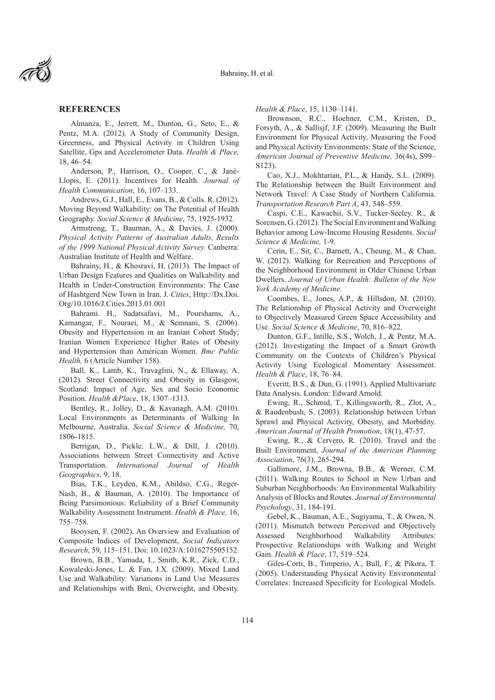

### **REFERENCES**

Almanza, E., Jerrett, M., Dunton, G., Seto, E., & Pentz, M.A. (2012). A Study of Community Design, Greenness, and Physical Activity in Children Using Satellite, Gps and Accelerometer Data. *Health & Place,*  18, 46–54.

Anderson, P., Harrison, O., Cooper, C., & Jané-Llopis, E. (2011). Incentives for Health. *Journal of Health Communication*, 16, 107–133.

Andrews, G.J., Hall, E., Evans, B., & Colls. R. (2012). Moving Beyond Walkability: on The Potential of Health Geography. *Social Science & Medicine*, 75, 1925-1932.

Armstrong, T., Bauman, A., & Davies, J. (2000). *Physical Activity Patterns of Australian Adults, Results of the 1999 National Physical Activity Survey.* Canberra: Australian Institute of Health and Welfare.

Bahrainy, H., & Khosravi, H. (2013). The Impact of Urban Design Features and Qualities on Walkability and Health in Under-Construction Environments: The Case of Hashtgerd New Town in Iran. J. *Cities*, Http://Dx.Doi. Org/10.1016/J.Cities.2013.01.001

Bahrami. H., Sadatsafavi, M., Pourshams, A., Kamangar, F., Nouraei, M., & Semnani, S. (2006). Obesity and Hypertension in an Iranian Cohort Study; Iranian Women Experience Higher Rates of Obesity and Hypertension than American Women. *Bmc Public Health,* 6 (Article Number 158).

Ball, K., Lamb, K., Travaglini, N., & Ellaway, A. (2012). Street Connectivity and Obesity in Glasgow, Scotland: Impact of Age, Sex and Socio Economic Position. *Health &Place*, 18, 1307–1313.

Bentley, R., Jolley, D., & Kavanagh, A.M. (2010). Local Environments as Determinants of Walking In Melbourne, Australia. *Social Science & Medicine,* 70, 1806-1815.

Berrigan, D., Pickle, L.W., & Dill, J. (2010). Associations between Street Connectivity and Active Transportation. *International Journal of Health Geographics*, 9, 18.

Bias, T.K., Leyden, K.M., Abildso, C.G., Reger-Nash, B., & Bauman, A. (2010). The Importance of Being Parsimonious: Reliability of a Brief Community Walkability Assessment Instrument. *Health & Place,* 16, 755–758.

Booysen, F. (2002). An Overview and Evaluation of Composite Indices of Development, *Social Indicators Research*, 59, 115–151. Doi: 10.1023/A:1016275505152.

Brown, B.B., Yamada, I., Smith, K.R., Zick, C.D., Kowaleski-Jones, L. & Fan, J.X. (2009). Mixed Land Use and Walkability: Variations in Land Use Measures and Relationships with Bmi, Overweight, and Obesity.

*Health & Place*, 15, 1130–1141.

Brownson, R.C., Hoehner, C.M., Kristen, D., Forsyth, A., & Sallisjf, J.F. (2009). Measuring the Built Environment for Physical Activity, Measuring the Food and Physical Activity Environments: State of the Science, *American Journal of Preventive Medicine,* 36(4s), S99– S123).

Cao, X.J., Mokhtarian, P.L., & Handy, S.L. (2009). The Relationship between the Built Environment and Network Travel: A Case Study of Northern California. *Transportation Research Part A*, 43, 548–559.

Caspi, C.E., Kawachii, S.V., Tucker-Seeley. R., & Sorensen, G. (2012). The Social Environment and Walking Behavior among Low-Income Housing Residents. *Social Science & Medicine,* 1-9.

Cerin, E., Sit, C., Barnett, A., Cheung, M., & Chan, W. (2012). Walking for Recreation and Perceptions of the Neighborhood Environment in Older Chinese Urban Dwellers. *Journal of Urban Health: Bulletin of the New York Academy of Medicine.*

Coombes, E., Jones, A.P., & Hillsdon, M. (2010). The Relationship of Physical Activity and Overweight to Objectively Measured Green Space Accessibility and Use. *Social Science & Medicine*, 70, 816–822.

Dunton, G.F., Intille, S.S., Wolch, J., & Pentz, M.A. (2012). Investigating the Impact of a Smart Growth Community on the Contexts of Children's Physical Activity Using Ecological Momentary Assessment. *Health & Place*, 18, 76–84.

Everitt, B.S., & Dun, G. (1991). Applied Multivariate Data Analysis. London: Edward Arnold.

Ewing, R., Schmid, T., Killingsworth, R., Zlot, A., & Raudenbush, S. (2003). Relationship between Urban Sprawl and Physical Activity, Obesity, and Morbidity. *American Journal of Health Promotion*, 18(1), 47-57.

Ewing, R., & Cervero, R. (2010). Travel and the Built Environment, *Journal of the American Planning Association*, 76(3), 265-294.

Gallimore, J.M., Browna, B.B., & Werner, C.M. (2011). Walking Routes to School in New Urban and Suburban Neighborhoods: An Environmental Walkability Analysis of Blocks and Routes. *Journal of Environmental Psychology*, 31, 184-191.

Gebel, K., Bauman, A.E., Sugiyama, T., & Owen, N. (2011). Mismatch between Perceived and Objectively Assessed Neighborhood Walkability Attributes: Prospective Relationships with Walking and Weight Gain. *Health & Place*, 17, 519–524.

Giles-Corti, B., Timperio, A., Bull, F., & Pikora, T. (2005). Understanding Physical Activity Environmental Correlates: Increased Specificity for Ecological Models.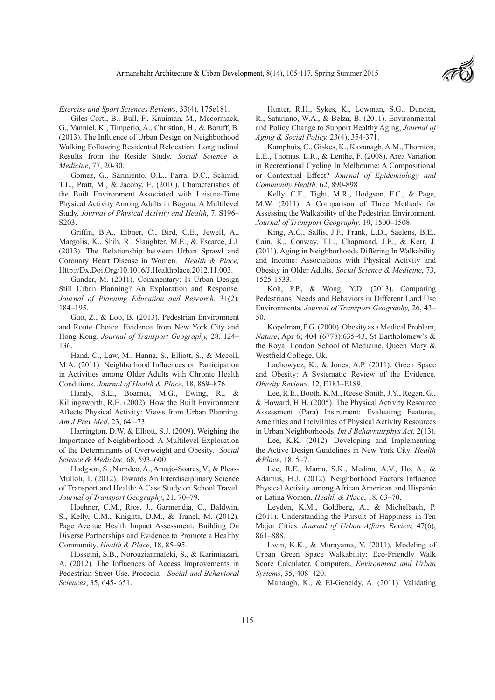

*Exercise and Sport Sciences Reviews*, 33(4), 175e181.

Giles-Corti, B., Bull, F., Knuiman, M., Mccormack, G., Vanniel, K., Timperio, A., Christian, H., & Boruff, B. (2013). The Influence of Urban Design on Neighborhood Walking Following Residential Relocation: Longitudinal Results from the Reside Study. *Social Science & Medicine*, 77, 20-30.

Gomez, G., Sarmiento, O.L., Parra, D.C., Schmid, T.L., Pratt, M., & Jacoby, E. (2010). Characteristics of the Built Environment Associated with Leisure-Time Physical Activity Among Adults in Bogota. A Multilevel Study. *Journal of Physical Activity and Health,* 7, S196– S203.

Griffin, B.A., Eibner, C., Bird, C.E., Jewell, A., Margolis, K., Shih, R., Slaughter, M.E., & Escarce, J.J. (2013). The Relationship between Urban Sprawl and Coronary Heart Disease in Women. *Health & Place,*  Http://Dx.Doi.Org/10.1016/J.Healthplace.2012.11.003.

Gunder, M. (2011). Commentary: Is Urban Design Still Urban Planning? An Exploration and Response. *Journal of Planning Education and Research*, 31(2), 184–195.

Guo, Z., & Loo, B. (2013). Pedestrian Environment and Route Choice: Evidence from New York City and Hong Kong. *Journal of Transport Geography,* 28, 124– 136.

Hand, C., Law, M., Hanna, S., Elliott, S., & Mccoll, M.A. (2011). Neighborhood Influences on Participation in Activities among Older Adults with Chronic Health Conditions. *Journal of Health & Place*, 18, 869–876.

Handy, S.L., Boarnet, M.G., Ewing, R., & Killingsworth, R.E. (2002). How the Built Environment Affects Physical Activity: Views from Urban Planning. *Am J Prev Med*, 23, 64 –73.

Harrington, D.W. & Elliott, S.J. (2009). Weighing the Importance of Neighborhood: A Multilevel Exploration of the Determinants of Overweight and Obesity. *Social Science & Medicine,* 68, 593–600.

Hodgson, S., Namdeo, A., Araujo-Soares, V., & Pless-Mulloli, T. (2012). Towards An Interdisciplinary Science of Transport and Health: A Case Study on School Travel. *Journal of Transport Geography*, 21, 70–79.

Hoehner, C.M., Rios, J., Garmendia, C., Baldwin, S., Kelly, C.M., Knights, D.M., & Tranel, M. (2012). Page Avenue Health Impact Assessment: Building On Diverse Partnerships and Evidence to Promote a Healthy Community. *Health & Place,* 18, 85–95.

Hosseini, S.B., Norouzianmaleki, S., & Karimiazari, A. (2012). The Influences of Access Improvements in Pedestrian Street Use. Procedia - *Social and Behavioral Sciences*, 35, 645- 651.

Hunter, R.H., Sykes, K., Lowman, S.G., Duncan, R., Satariano, W.A., & Belza, B. (2011). Environmental and Policy Change to Support Healthy Aging, *Journal of Aging & Social Policy,* 23(4), 354-371.

Kamphuis, C., Giskes, K., Kavanagh, A.M., Thornton, L.E., Thomas, L.R., & Lenthe, F. (2008). Area Variation in Recreational Cycling In Melbourne: A Compositional or Contextual Effect? *Journal of Epidemiology and Community Health,* 62, 890-898

Kelly. C.E., Tight, M.R., Hodgson, F.C., & Page, M.W. (2011). A Comparison of Three Methods for Assessing the Walkability of the Pedestrian Environment. *Journal of Transport Geography,* 19, 1500–1508.

King, A.C., Sallis, J.F., Frank, L.D., Saelens, B.E., Cain, K., Conway, T.L., Chapmand, J.E., & Kerr, J. (2011). Aging in Neighborhoods Differing In Walkability and Income: Associations with Physical Activity and Obesity in Older Adults. *Social Science & Medicine*, 73, 1525-1533.

Koh, P.P., & Wong, Y.D. (2013). Comparing Pedestrians' Needs and Behaviors in Different Land Use Environments. *Journal of Transport Geography,* 26, 43– 50.

Kopelman, P.G. (2000). Obesity as a Medical Problem, *Nature*, Apr 6; 404 (6778):635-43, St Bartholomew's & the Royal London School of Medicine, Queen Mary & Westfield College, Uk.

Lachowycz, K., & Jones, A.P. (2011). Green Space and Obesity: A Systematic Review of the Evidence. *Obesity Reviews,* 12, E183–E189.

Lee, R.E., Booth, K.M., Reese-Smith, J.Y., Regan, G., & Howard, H.H. (2005). The Physical Activity Resource Assessment (Para) Instrument: Evaluating Features, Amenities and Incivilities of Physical Activity Resources in Urban Neighborhoods. *Int J Behavnutrphys Act,* 2(13).

Lee, K.K. (2012). Developing and Implementing the Active Design Guidelines in New York City. *Health &Place*, 18, 5–7.

Lee, R.E., Mama, S.K., Medina, A.V., Ho, A., & Adamus, H.J. (2012). Neighborhood Factors Influence Physical Activity among African American and Hispanic or Latina Women. *Health & Place*, 18, 63–70.

Leyden, K.M., Goldberg, A., & Michelbach, P. (2011). Understanding the Pursuit of Happiness in Ten Major Cities. *Journal of Urban Affairs Review,* 47(6), 861–888.

Lwin, K.K., & Murayama, Y. (2011). Modeling of Urban Green Space Walkability: Eco-Friendly Walk Score Calculator. Computers, *Environment and Urban Systems*, 35, 408–420.

Manaugh, K., & El-Geneidy, A. (2011). Validating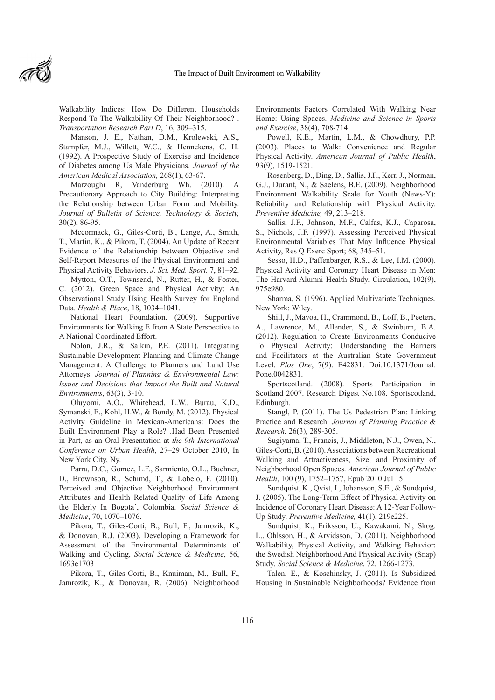

Walkability Indices: How Do Different Households Respond To The Walkability Of Their Neighborhood? . *Transportation Research Part D*, 16, 309–315.

Manson, J. E., Nathan, D.M., Krolewski, A.S., Stampfer, M.J., Willett, W.C., & Hennekens, C. H. (1992). A Prospective Study of Exercise and Incidence of Diabetes among Us Male Physicians. *Journal of the American Medical Association,* 268(1), 63-67.

Marzoughi R, Vanderburg Wh. (2010). A Precautionary Approach to City Building: Interpreting the Relationship between Urban Form and Mobility. *Journal of Bulletin of Science, Technology & Society,*  30(2), 86-95.

Mccormack, G., Giles-Corti, B., Lange, A., Smith, T., Martin, K., & Pikora, T. (2004). An Update of Recent Evidence of the Relationship between Objective and Self-Report Measures of the Physical Environment and Physical Activity Behaviors. *J. Sci. Med. Sport,* 7, 81–92.

Mytton, O.T., Townsend, N., Rutter, H., & Foster, C. (2012). Green Space and Physical Activity: An Observational Study Using Health Survey for England Data. *Health & Place*, 18, 1034–1041.

National Heart Foundation. (2009). Supportive Environments for Walking E from A State Perspective to A National Coordinated Effort.

Nolon, J.R., & Salkin, P.E. (2011). Integrating Sustainable Development Planning and Climate Change Management: A Challenge to Planners and Land Use Attorneys. *Journal of Planning & Environmental Law: Issues and Decisions that Impact the Built and Natural Environments*, 63(3), 3-10.

Oluyomi, A.O., Whitehead, L.W., Burau, K.D., Symanski, E., Kohl, H.W., & Bondy, M. (2012). Physical Activity Guideline in Mexican-Americans: Does the Built Environment Play a Role? .Had Been Presented in Part, as an Oral Presentation at *the 9th International Conference on Urban Health*, 27–29 October 2010, In New York City, Ny.

Parra, D.C., Gomez, L.F., Sarmiento, O.L., Buchner, D., Brownson, R., Schimd, T., & Lobelo, F. (2010). Perceived and Objective Neighborhood Environment Attributes and Health Related Quality of Life Among the Elderly In Bogota´, Colombia. *Social Science & Medicine*, 70, 1070–1076.

Pikora, T., Giles-Corti, B., Bull, F., Jamrozik, K., & Donovan, R.J. (2003). Developing a Framework for Assessment of the Environmental Determinants of Walking and Cycling, *Social Science & Medicine*, 56, 1693e1703

Pikora, T., Giles-Corti, B., Knuiman, M., Bull, F., Jamrozik, K., & Donovan, R. (2006). Neighborhood Environments Factors Correlated With Walking Near Home: Using Spaces. *Medicine and Science in Sports and Exercise*, 38(4), 708-714

Powell, K.E., Martin, L.M., & Chowdhury, P.P. (2003). Places to Walk: Convenience and Regular Physical Activity. *American Journal of Public Health*, 93(9), 1519-1521.

Rosenberg, D., Ding, D., Sallis, J.F., Kerr, J., Norman, G.J., Durant, N., & Saelens, B.E. (2009). Neighborhood Environment Walkability Scale for Youth (News-Y): Reliability and Relationship with Physical Activity. *Preventive Medicine,* 49, 213–218.

Sallis, J.F., Johnson, M.F., Calfas, K.J., Caparosa, S., Nichols, J.F. (1997). Assessing Perceived Physical Environmental Variables That May Influence Physical Activity, Res Q Exerc Sport; 68, 345–51.

Sesso, H.D., Paffenbarger, R.S., & Lee, I.M. (2000). Physical Activity and Coronary Heart Disease in Men: The Harvard Alumni Health Study. Circulation, 102(9), 975e980.

Sharma, S. (1996). Applied Multivariate Techniques. New York: Wiley.

Shill, J., Mavoa, H., Crammond, B., Loff, B., Peeters, A., Lawrence, M., Allender, S., & Swinburn, B.A. (2012). Regulation to Create Environments Conducive To Physical Activity: Understanding the Barriers and Facilitators at the Australian State Government Level. *Plos One*, 7(9): E42831. Doi:10.1371/Journal. Pone.0042831.

Sportscotland. (2008). Sports Participation in Scotland 2007. Research Digest No.108. Sportscotland, Edinburgh.

Stangl, P. (2011). The Us Pedestrian Plan: Linking Practice and Research. *Journal of Planning Practice & Research,* 26(3), 289-305.

Sugiyama, T., Francis, J., Middleton, N.J., Owen, N., Giles-Corti, B. (2010). Associations between Recreational Walking and Attractiveness, Size, and Proximity of Neighborhood Open Spaces. *American Journal of Public Health*, 100 (9), 1752–1757, Epub 2010 Jul 15.

Sundquist, K., Qvist, J., Johansson, S.E., & Sundquist, J. (2005). The Long-Term Effect of Physical Activity on Incidence of Coronary Heart Disease: A 12-Year Follow-Up Study. *Preventive Medicine,* 41(1), 219e225.

Sundquist, K., Eriksson, U., Kawakami. N., Skog. L., Ohlsson, H., & Arvidsson, D. (2011). Neighborhood Walkability, Physical Activity, and Walking Behavior: the Swedish Neighborhood And Physical Activity (Snap) Study. *Social Science & Medicine*, 72, 1266-1273.

Talen, E., & Koschinsky, J. (2011). Is Subsidized Housing in Sustainable Neighborhoods? Evidence from